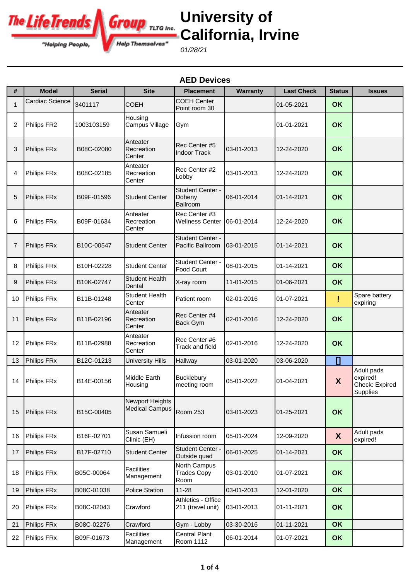

**University of California, Irvine**

01/28/21

|    | <b>AED Devices</b>     |                         |                                                 |                                               |                 |                   |                  |                                                      |  |
|----|------------------------|-------------------------|-------------------------------------------------|-----------------------------------------------|-----------------|-------------------|------------------|------------------------------------------------------|--|
| #  | <b>Model</b>           | Serial                  | <b>Site</b>                                     | <b>Placement</b>                              | <b>Warranty</b> | <b>Last Check</b> | <b>Status</b>    | <b>Issues</b>                                        |  |
| 1  | <b>Cardiac Science</b> | 3401117                 | <b>COEH</b>                                     | <b>COEH Center</b><br>Point room 30           |                 | 01-05-2021        | <b>OK</b>        |                                                      |  |
| 2  | Philips FR2            | 1003103159              | Housing<br>Campus Village                       | Gym                                           |                 | 01-01-2021        | <b>OK</b>        |                                                      |  |
| 3  | Philips FRx            | B08C-02080              | Anteater<br>Recreation<br>Center                | Rec Center #5<br><b>Indoor Track</b>          | 03-01-2013      | 12-24-2020        | OK               |                                                      |  |
| 4  | Philips FRx            | B08C-02185              | Anteater<br>Recreation<br>Center                | Rec Center #2<br>Lobby                        | 03-01-2013      | 12-24-2020        | <b>OK</b>        |                                                      |  |
| 5  | Philips FRx            | B09F-01596              | <b>Student Center</b>                           | Student Center -<br>Doheny<br><b>Ballroom</b> | 06-01-2014      | 01-14-2021        | <b>OK</b>        |                                                      |  |
| 6  | Philips FRx            | B09F-01634              | Anteater<br>Recreation<br>Center                | Rec Center #3<br><b>Wellness Center</b>       | 06-01-2014      | 12-24-2020        | OK               |                                                      |  |
| 7  | Philips FRx            | B10C-00547              | <b>Student Center</b>                           | Student Center -<br>Pacific Ballroom          | 03-01-2015      | 01-14-2021        | OK               |                                                      |  |
| 8  | Philips FRx            | B10H-02228              | <b>Student Center</b>                           | Student Center -<br>Food Court                | 08-01-2015      | 01-14-2021        | OK               |                                                      |  |
| 9  | Philips FRx            | B <sub>10</sub> K-02747 | <b>Student Health</b><br>Dental                 | X-ray room                                    | 11-01-2015      | 01-06-2021        | OK               |                                                      |  |
| 10 | <b>Philips FRx</b>     | B11B-01248              | <b>Student Health</b><br>Center                 | Patient room                                  | 02-01-2016      | 01-07-2021        | Ţ                | Spare battery<br>expiring                            |  |
| 11 | Philips FRx            | B11B-02196              | Anteater<br>Recreation<br>Center                | Rec Center #4<br>Back Gym                     | 02-01-2016      | 12-24-2020        | OK               |                                                      |  |
| 12 | Philips FRx            | B11B-02988              | Anteater<br>Recreation<br>Center                | Rec Center #6<br>Track and field              | 02-01-2016      | 12-24-2020        | OK               |                                                      |  |
| 13 | Philips FRx            | B12C-01213              | <b>University Hills</b>                         | Hallway                                       | 03-01-2020      | 03-06-2020        | $\mathbf{I}$     |                                                      |  |
|    | 14 Philips FRx         | B14E-00156              | Middle Earth<br>Housing                         | <b>Bucklebury</b><br>meeting room             | 05-01-2022      | 01-04-2021        | X                | Adult pads<br>expired!<br>Check: Expired<br>Supplies |  |
| 15 | Philips FRx            | B15C-00405              | <b>Newport Heights</b><br><b>Medical Campus</b> | <b>Room 253</b>                               | 03-01-2023      | 01-25-2021        | <b>OK</b>        |                                                      |  |
| 16 | Philips FRx            | B16F-02701              | Susan Samueli<br>Clinic (EH)                    | Infussion room                                | 05-01-2024      | 12-09-2020        | $\boldsymbol{X}$ | Adult pads<br>expired!                               |  |
| 17 | Philips FRx            | B17F-02710              | <b>Student Center</b>                           | Student Center -<br>Outside quad              | 06-01-2025      | 01-14-2021        | <b>OK</b>        |                                                      |  |
| 18 | Philips FRx            | B05C-00064              | <b>Facilities</b><br>Management                 | North Campus<br><b>Trades Copy</b><br>Room    | 03-01-2010      | 01-07-2021        | <b>OK</b>        |                                                      |  |
| 19 | Philips FRx            | B08C-01038              | <b>Police Station</b>                           | $11 - 28$                                     | 03-01-2013      | 12-01-2020        | <b>OK</b>        |                                                      |  |
| 20 | Philips FRx            | B08C-02043              | Crawford                                        | Athletics - Office<br>211 (travel unit)       | 03-01-2013      | 01-11-2021        | <b>OK</b>        |                                                      |  |
| 21 | Philips FRx            | B08C-02276              | Crawford                                        | Gym - Lobby                                   | 03-30-2016      | 01-11-2021        | <b>OK</b>        |                                                      |  |
| 22 | Philips FRx            | B09F-01673              | <b>Facilities</b><br>Management                 | <b>Central Plant</b><br>Room 1112             | 06-01-2014      | 01-07-2021        | <b>OK</b>        |                                                      |  |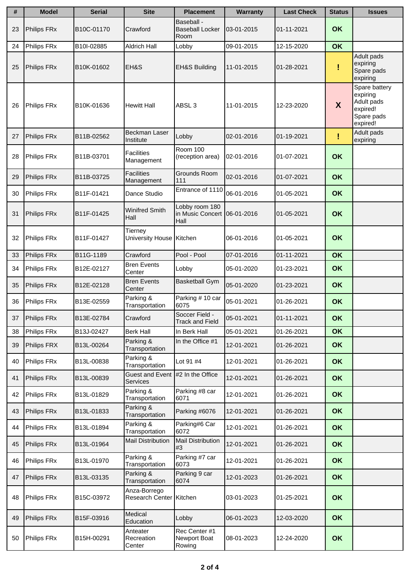| #  | <b>Model</b> | <b>Serial</b>           | <b>Site</b>                             | <b>Placement</b>                                        | <b>Warranty</b> | <b>Last Check</b> | <b>Status</b> | <b>Issues</b>                                                                 |
|----|--------------|-------------------------|-----------------------------------------|---------------------------------------------------------|-----------------|-------------------|---------------|-------------------------------------------------------------------------------|
| 23 | Philips FRx  | B10C-01170              | Crawford                                | Baseball -<br><b>Baseball Locker</b><br>Room            | 03-01-2015      | 01-11-2021        | <b>OK</b>     |                                                                               |
| 24 | Philips FRx  | B10I-02885              | <b>Aldrich Hall</b>                     | Lobby                                                   | 09-01-2015      | 12-15-2020        | OK            |                                                                               |
| 25 | Philips FRx  | B10K-01602              | EH&S                                    | <b>EH&amp;S Building</b>                                | 11-01-2015      | 01-28-2021        | I             | Adult pads<br>expiring<br>Spare pads<br>expiring                              |
| 26 | Philips FRx  | B10K-01636              | <b>Hewitt Hall</b>                      | ABSL <sub>3</sub>                                       | 11-01-2015      | 12-23-2020        | X             | Spare battery<br>expiring<br>Adult pads<br>expired!<br>Spare pads<br>expired! |
| 27 | Philips FRx  | B11B-02562              | Beckman Laser<br>Institute              | Lobby                                                   | 02-01-2016      | 01-19-2021        | Ţ             | Adult pads<br>expiring                                                        |
| 28 | Philips FRx  | B11B-03701              | <b>Facilities</b><br>Management         | <b>Room 100</b><br>(reception area)                     | 02-01-2016      | 01-07-2021        | OK            |                                                                               |
| 29 | Philips FRx  | B11B-03725              | <b>Facilities</b><br>Management         | Grounds Room<br>111                                     | 02-01-2016      | 01-07-2021        | OK            |                                                                               |
| 30 | Philips FRx  | B <sub>11</sub> F-01421 | Dance Studio                            | Entrance of 1110                                        | 06-01-2016      | 01-05-2021        | OK            |                                                                               |
| 31 | Philips FRx  | B11F-01425              | <b>Winifred Smith</b><br>Hall           | Lobby room 180<br>in Music Concert   06-01-2016<br>Hall |                 | 01-05-2021        | OK            |                                                                               |
| 32 | Philips FRx  | B11F-01427              | Tierney<br>University House Kitchen     |                                                         | 06-01-2016      | 01-05-2021        | OK            |                                                                               |
| 33 | Philips FRx  | B11G-1189               | Crawford                                | Pool - Pool                                             | 07-01-2016      | 01-11-2021        | OK            |                                                                               |
| 34 | Philips FRx  | B12E-02127              | <b>Bren Events</b><br>Center            | Lobby                                                   | 05-01-2020      | 01-23-2021        | OK            |                                                                               |
| 35 | Philips FRx  | B12E-02128              | <b>Bren Events</b><br>Center            | <b>Basketball Gym</b>                                   | 05-01-2020      | 01-23-2021        | OK            |                                                                               |
| 36 | Philips FRx  | B13E-02559              | Parking &<br>Transportation             | Parking # 10 car<br>6075                                | 05-01-2021      | 01-26-2021        | OK            |                                                                               |
| 37 | Philips FRx  | B13E-02784              | Crawford                                | Soccer Field -<br><b>Track and Field</b>                | 05-01-2021      | 01-11-2021        | OK            |                                                                               |
| 38 | Philips FRx  | B13J-02427              | <b>Berk Hall</b>                        | In Berk Hall                                            | 05-01-2021      | 01-26-2021        | OK            |                                                                               |
| 39 | Philips FRX  | B13L-00264              | Parking &<br>Transportation             | In the Office #1                                        | 12-01-2021      | 01-26-2021        | OK            |                                                                               |
| 40 | Philips FRx  | B13L-00838              | Parking &<br>Transportation             | Lot 91 #4                                               | 12-01-2021      | 01-26-2021        | OK            |                                                                               |
| 41 | Philips FRx  | B13L-00839              | Guest and Event<br>Services             | #2 In the Office                                        | 12-01-2021      | 01-26-2021        | OK            |                                                                               |
| 42 | Philips FRx  | B13L-01829              | Parking &<br>Transportation             | Parking #8 car<br>6071                                  | 12-01-2021      | 01-26-2021        | <b>OK</b>     |                                                                               |
| 43 | Philips FRx  | B13L-01833              | Parking &<br>Transportation             | Parking #6076                                           | 12-01-2021      | 01-26-2021        | <b>OK</b>     |                                                                               |
| 44 | Philips FRx  | B13L-01894              | Parking &<br>Transportation             | Parking#6 Car<br>6072                                   | 12-01-2021      | 01-26-2021        | <b>OK</b>     |                                                                               |
| 45 | Philips FRx  | B13L-01964              | Mail Distribution                       | Mail Distribution<br>#3                                 | 12-01-2021      | 01-26-2021        | <b>OK</b>     |                                                                               |
| 46 | Philips FRx  | B13L-01970              | Parking &<br>Transportation             | Parking #7 car<br>6073                                  | 12-01-2021      | 01-26-2021        | <b>OK</b>     |                                                                               |
| 47 | Philips FRx  | B13L-03135              | Parking &<br>Transportation             | Parking 9 car<br>6074                                   | 12-01-2023      | 01-26-2021        | <b>OK</b>     |                                                                               |
| 48 | Philips FRx  | B15C-03972              | Anza-Borrego<br>Research Center Kitchen |                                                         | 03-01-2023      | 01-25-2021        | OK            |                                                                               |
| 49 | Philips FRx  | B15F-03916              | Medical<br>Education                    | Lobby                                                   | 06-01-2023      | 12-03-2020        | OK            |                                                                               |
| 50 | Philips FRx  | B15H-00291              | Anteater<br>Recreation<br>Center        | Rec Center #1<br>Newport Boat<br>Rowing                 | 08-01-2023      | 12-24-2020        | <b>OK</b>     |                                                                               |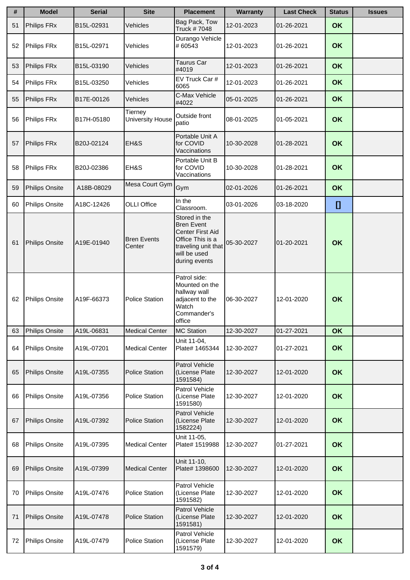| #  | <b>Model</b>          | <b>Serial</b> | <b>Site</b>                        | <b>Placement</b>                                                                                                                   | <b>Warranty</b> | <b>Last Check</b> | <b>Status</b> | <b>Issues</b> |
|----|-----------------------|---------------|------------------------------------|------------------------------------------------------------------------------------------------------------------------------------|-----------------|-------------------|---------------|---------------|
| 51 | Philips FRx           | B15L-02931    | Vehicles                           | Bag Pack, Tow<br>Truck #7048                                                                                                       | 12-01-2023      | 01-26-2021        | <b>OK</b>     |               |
| 52 | Philips FRx           | B15L-02971    | Vehicles                           | Durango Vehicle<br>#60543                                                                                                          | 12-01-2023      | 01-26-2021        | <b>OK</b>     |               |
| 53 | Philips FRx           | B15L-03190    | Vehicles                           | Taurus Car<br>#4019                                                                                                                | 12-01-2023      | 01-26-2021        | <b>OK</b>     |               |
| 54 | Philips FRx           | B15L-03250    | Vehicles                           | EV Truck Car #<br>6065                                                                                                             | 12-01-2023      | 01-26-2021        | <b>OK</b>     |               |
| 55 | Philips FRx           | B17E-00126    | Vehicles                           | C-Max Vehicle<br>#4022                                                                                                             | 05-01-2025      | 01-26-2021        | <b>OK</b>     |               |
| 56 | Philips FRx           | B17H-05180    | Tierney<br><b>University House</b> | Outside front<br>patio                                                                                                             | 08-01-2025      | 01-05-2021        | OK            |               |
| 57 | Philips FRx           | B20J-02124    | EH&S                               | Portable Unit A<br>for COVID<br>Vaccinations                                                                                       | 10-30-2028      | 01-28-2021        | <b>OK</b>     |               |
| 58 | Philips FRx           | B20J-02386    | EH&S                               | Portable Unit B<br>for COVID<br>Vaccinations                                                                                       | 10-30-2028      | 01-28-2021        | OK            |               |
| 59 | <b>Philips Onsite</b> | A18B-08029    | Mesa Court Gym                     | Gym                                                                                                                                | 02-01-2026      | 01-26-2021        | <b>OK</b>     |               |
| 60 | Philips Onsite        | A18C-12426    | <b>OLLI Office</b>                 | In the<br>Classroom.                                                                                                               | 03-01-2026      | 03-18-2020        | IJ            |               |
| 61 | Philips Onsite        | A19E-01940    | <b>Bren Events</b><br>Center       | Stored in the<br><b>Bren Event</b><br>Center First Aid<br>Office This is a<br>traveling unit that<br>will be used<br>during events | 05-30-2027      | 01-20-2021        | <b>OK</b>     |               |
| 62 | <b>Philips Onsite</b> | A19F-66373    | <b>Police Station</b>              | Patrol side:<br>Mounted on the<br>hallway wall<br>adjacent to the<br>Watch<br>Commander's<br>office                                | 06-30-2027      | 12-01-2020        | <b>OK</b>     |               |
| 63 | Philips Onsite        | A19L-06831    | <b>Medical Center</b>              | <b>MC Station</b>                                                                                                                  | 12-30-2027      | 01-27-2021        | OK            |               |
| 64 | <b>Philips Onsite</b> | A19L-07201    | <b>Medical Center</b>              | Unit 11-04,<br>Plate# 1465344                                                                                                      | 12-30-2027      | 01-27-2021        | OK            |               |
| 65 | <b>Philips Onsite</b> | A19L-07355    | <b>Police Station</b>              | Patrol Vehicle<br>(License Plate<br>1591584)                                                                                       | 12-30-2027      | 12-01-2020        | OK            |               |
| 66 | <b>Philips Onsite</b> | A19L-07356    | <b>Police Station</b>              | Patrol Vehicle<br>(License Plate<br>1591580)                                                                                       | 12-30-2027      | 12-01-2020        | <b>OK</b>     |               |
| 67 | <b>Philips Onsite</b> | A19L-07392    | <b>Police Station</b>              | Patrol Vehicle<br>(License Plate<br>1582224)                                                                                       | 12-30-2027      | 12-01-2020        | OK            |               |
| 68 | <b>Philips Onsite</b> | A19L-07395    | <b>Medical Center</b>              | Unit 11-05,<br>Plate# 1519988                                                                                                      | 12-30-2027      | 01-27-2021        | OK            |               |
| 69 | <b>Philips Onsite</b> | A19L-07399    | <b>Medical Center</b>              | Unit 11-10,<br>Plate# 1398600                                                                                                      | 12-30-2027      | 12-01-2020        | <b>OK</b>     |               |
| 70 | Philips Onsite        | A19L-07476    | <b>Police Station</b>              | Patrol Vehicle<br>(License Plate<br>1591582)                                                                                       | 12-30-2027      | 12-01-2020        | OK            |               |
| 71 | Philips Onsite        | A19L-07478    | <b>Police Station</b>              | Patrol Vehicle<br>(License Plate<br>1591581)                                                                                       | 12-30-2027      | 12-01-2020        | OK            |               |
| 72 | <b>Philips Onsite</b> | A19L-07479    | Police Station                     | Patrol Vehicle<br>(License Plate<br>1591579)                                                                                       | 12-30-2027      | 12-01-2020        | OK            |               |